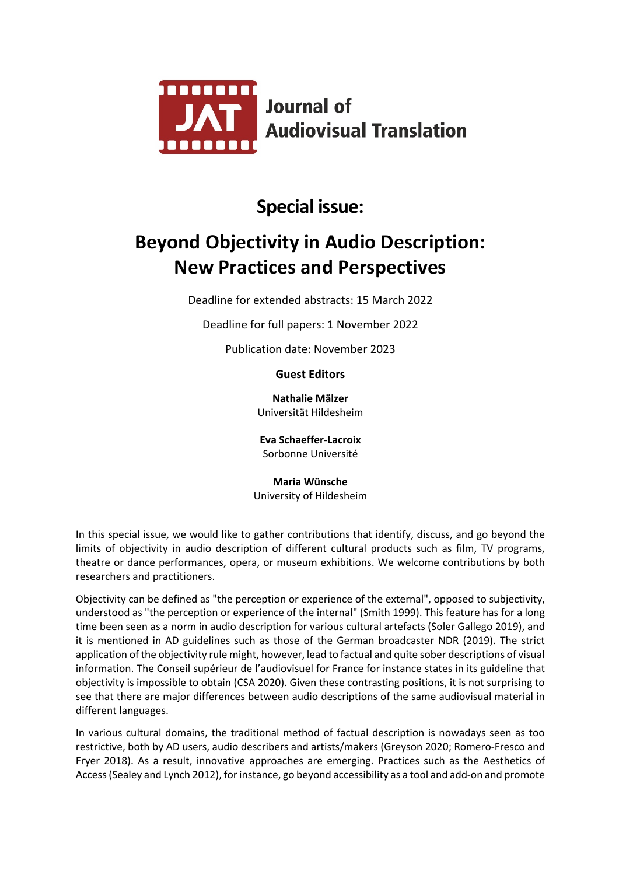

# **Special issue:**

# **Beyond Objectivity in Audio Description: New Practices and Perspectives**

Deadline for extended abstracts: 15 March 2022

Deadline for full papers: 1 November 2022

Publication date: November 2023

**Guest Editors**

**Nathalie Mälzer** Universität Hildesheim

**Eva Schaeffer-Lacroix** Sorbonne Université

**Maria Wünsche** University of Hildesheim

In this special issue, we would like to gather contributions that identify, discuss, and go beyond the limits of objectivity in audio description of different cultural products such as film, TV programs, theatre or dance performances, opera, or museum exhibitions. We welcome contributions by both researchers and practitioners.

Objectivity can be defined as "the perception or experience of the external", opposed to subjectivity, understood as "the perception or experience of the internal" (Smith 1999). This feature has for a long time been seen as a norm in audio description for various cultural artefacts (Soler Gallego 2019), and it is mentioned in AD guidelines such as those of the German broadcaster NDR (2019). The strict application of the objectivity rule might, however, lead to factual and quite sober descriptions of visual information. The Conseil supérieur de l'audiovisuel for France for instance states in its guideline that objectivity is impossible to obtain (CSA 2020). Given these contrasting positions, it is not surprising to see that there are major differences between audio descriptions of the same audiovisual material in different languages.

In various cultural domains, the traditional method of factual description is nowadays seen as too restrictive, both by AD users, audio describers and artists/makers (Greyson 2020; Romero-Fresco and Fryer 2018). As a result, innovative approaches are emerging. Practices such as the Aesthetics of Access (Sealey and Lynch 2012), for instance, go beyond accessibility as a tool and add-on and promote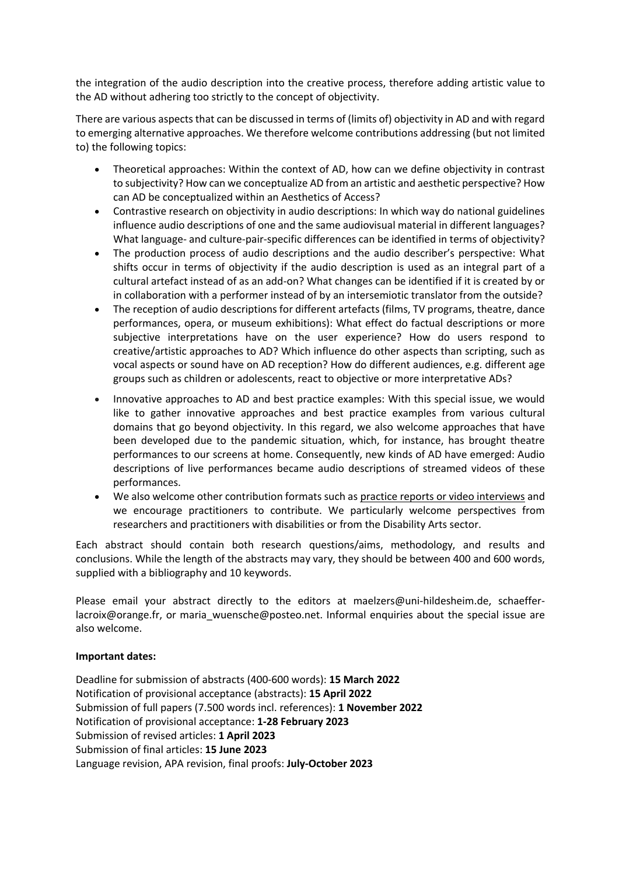the integration of the audio description into the creative process, therefore adding artistic value to the AD without adhering too strictly to the concept of objectivity.

There are various aspects that can be discussed in terms of (limits of) objectivity in AD and with regard to emerging alternative approaches. We therefore welcome contributions addressing (but not limited to) the following topics:

- Theoretical approaches: Within the context of AD, how can we define objectivity in contrast to subjectivity? How can we conceptualize AD from an artistic and aesthetic perspective? How can AD be conceptualized within an Aesthetics of Access?
- Contrastive research on objectivity in audio descriptions: In which way do national guidelines influence audio descriptions of one and the same audiovisual material in different languages? What language- and culture-pair-specific differences can be identified in terms of objectivity?
- The production process of audio descriptions and the audio describer's perspective: What shifts occur in terms of objectivity if the audio description is used as an integral part of a cultural artefact instead of as an add-on? What changes can be identified if it is created by or in collaboration with a performer instead of by an intersemiotic translator from the outside?
- The reception of audio descriptions for different artefacts (films, TV programs, theatre, dance performances, opera, or museum exhibitions): What effect do factual descriptions or more subjective interpretations have on the user experience? How do users respond to creative/artistic approaches to AD? Which influence do other aspects than scripting, such as vocal aspects or sound have on AD reception? How do different audiences, e.g. different age groups such as children or adolescents, react to objective or more interpretative ADs?
- Innovative approaches to AD and best practice examples: With this special issue, we would like to gather innovative approaches and best practice examples from various cultural domains that go beyond objectivity. In this regard, we also welcome approaches that have been developed due to the pandemic situation, which, for instance, has brought theatre performances to our screens at home. Consequently, new kinds of AD have emerged: Audio descriptions of live performances became audio descriptions of streamed videos of these performances.
- We also welcome other contribution formats such as practice reports or video interviews and we encourage practitioners to contribute. We particularly welcome perspectives from researchers and practitioners with disabilities or from the Disability Arts sector.

Each abstract should contain both research questions/aims, methodology, and results and conclusions. While the length of the abstracts may vary, they should be between 400 and 600 words, supplied with a bibliography and 10 keywords.

Please email your abstract directly to the editors at maelzers@uni-hildesheim.de, schaefferlacroix@orange.fr, or maria\_wuensche@posteo.net. Informal enquiries about the special issue are also welcome.

## **Important dates:**

Deadline for submission of abstracts (400-600 words): **15 March 2022** Notification of provisional acceptance (abstracts): **15 April 2022** Submission of full papers (7.500 words incl. references): **1 November 2022** Notification of provisional acceptance: **1-28 February 2023** Submission of revised articles: **1 April 2023** Submission of final articles: **15 June 2023** Language revision, APA revision, final proofs: **July-October 2023**